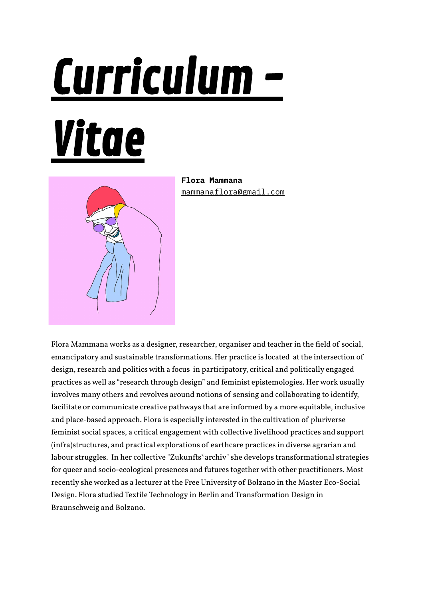# Curriculum -

# Vitae



**Flora Mammana** [mammanaflora@gmail.com](mailto:mammanaflora@gmail.com)

Flora Mammana works as a designer, researcher, organiser and teacher in the field of social, emancipatory and sustainable transformations. Her practice is located at the intersection of design, research and politics with a focus in participatory, critical and politically engaged practices as well as "research through design" and feminist epistemologies. Her work usually involves many others and revolves around notions of sensing and collaborating to identify, facilitate or communicate creative pathways that are informed by a more equitable, inclusive and place-based approach. Flora is especially interested in the cultivation of pluriverse feminist social spaces, a critical engagement with collective livelihood practices and support (infra)structures, and practical explorations of earthcare practices in diverse agrarian and labour struggles. In her collective "Zukunfts\*archiv" she develops transformational strategies for queer and socio-ecological presences and futures together with other practitioners. Most recently she worked as a lecturer at the Free University of Bolzano in the Master Eco-Social Design. Flora studied Textile Technology in Berlin and Transformation Design in Braunschweig and Bolzano.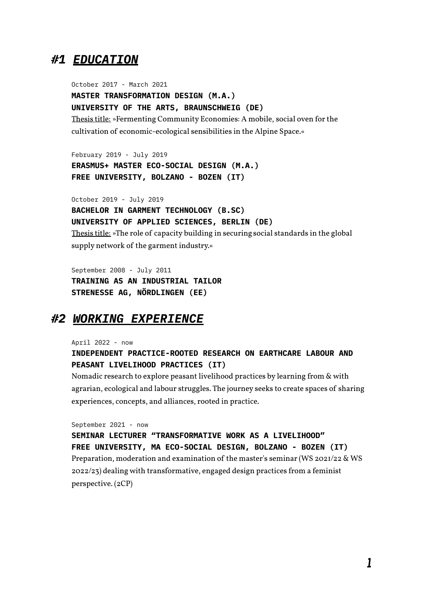### *#1 EDUCATION*

October 2017 - March 2021 **MASTER TRANSFORMATION DESIGN (M.A.) UNIVERSITY OF THE ARTS, BRAUNSCHWEIG (DE)** Thesis title: »Fermenting Community Economies: A mobile, social oven for the cultivation of economic-ecological sensibilities in the Alpine Space.«

February 2019 - July 2019 **ERASMUS+ MASTER ECO-SOCIAL DESIGN (M.A.) FREE UNIVERSITY, BOLZANO - BOZEN (IT)**

October 2019 - July 2019 **BACHELOR IN GARMENT TECHNOLOGY (B.SC) UNIVERSITY OF APPLIED SCIENCES, BERLIN (DE)** Thesis title: »The role of capacity building in securing social standards in the global supply network of the garment industry.«

September 2008 - July 2011 **TRAINING AS AN INDUSTRIAL TAILOR STRENESSE AG, NÖRDLINGEN (EE)**

## *#2 WORKING EXPERIENCE*

April 2022 - now

#### **INDEPENDENT PRACTICE-ROOTED RESEARCH ON EARTHCARE LABOUR AND PEASANT LIVELIHOOD PRACTICES (IT)**

Nomadic research to explore peasant livelihood practices by learning from & with agrarian, ecological and labour struggles. The journey seeks to create spaces of sharing experiences, concepts, and alliances, rooted in practice.

September 2021 - now

**SEMINAR LECTURER "TRANSFORMATIVE WORK AS A LIVELIHOOD" FREE UNIVERSITY, MA ECO-SOCIAL DESIGN, BOLZANO - BOZEN (IT)** Preparation, moderation and examination of the master's seminar (WS 2021/22 & WS 2022/23) dealing with transformative, engaged design practices from a feminist perspective. (2CP)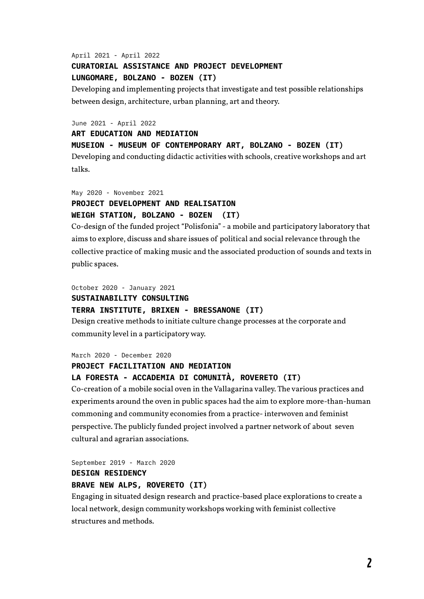#### April 2021 - April 2022 **CURATORIAL ASSISTANCE AND PROJECT DEVELOPMENT LUNGOMARE, BOLZANO - BOZEN (IT)**

Developing and implementing projects that investigate and test possible relationships between design, architecture, urban planning, art and theory.

June 2021 - April 2022

#### **ART EDUCATION AND MEDIATION**

#### **MUSEION - MUSEUM OF CONTEMPORARY ART, BOLZANO - BOZEN (IT)**

Developing and conducting didactic activities with schools, creative workshops and art talks.

#### May 2020 - November 2021 **PROJECT DEVELOPMENT AND REALISATION WEIGH STATION, BOLZANO - BOZEN (IT)**

Co-design of the funded project "Polisfonia" - a mobile and participatory laboratory that aims to explore, discuss and share issues of political and social relevance through the collective practice of making music and the associated production of sounds and texts in public spaces.

October 2020 - January 2021

#### **SUSTAINABILITY CONSULTING**

#### **TERRA INSTITUTE, BRIXEN - BRESSANONE (IT)**

Design creative methods to initiate culture change processes at the corporate and community level in a participatoryway.

March 2020 - December 2020

#### **PROJECT FACILITATION AND MEDIATION**

#### **LA FORESTA - ACCADEMIA DI COMUNITÀ, ROVERETO (IT)**

Co-creation of a mobile social oven in theVallagarina valley. The various practices and experiments around the oven in public spaces had the aim to explore more-than-human commoning and community economies from a practice- interwoven and feminist perspective. The publicly funded project involved a partner network of about seven cultural and agrarian associations.

September 2019 - March 2020

#### **DESIGN RESIDENCY**

#### **BRAVE NEW ALPS, ROVERETO (IT)**

Engaging in situated design research and practice-based place explorations to create a local network, design communityworkshops working with feminist collective structures and methods.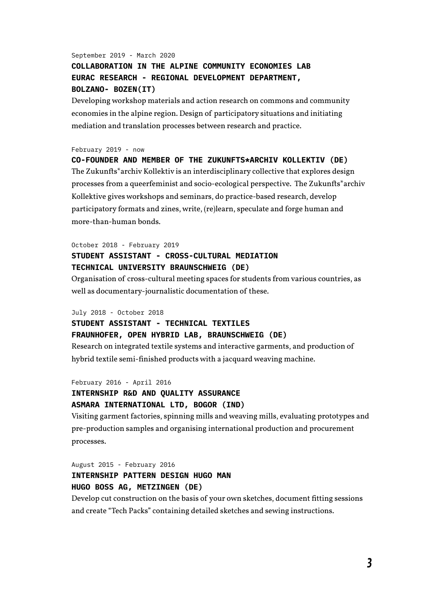#### September 2019 - March 2020 **COLLABORATION IN THE ALPINE COMMUNITY ECONOMIES LAB EURAC RESEARCH - REGIONAL DEVELOPMENT DEPARTMENT, BOLZANO- BOZEN(IT)**

Developing workshop materials and action research on commons and community economies in the alpine region. Design of participatory situations and initiating mediation and translation processes between research and practice.

#### February 2019 - now

**CO-FOUNDER AND MEMBER OF THE ZUKUNFTS\*ARCHIV KOLLEKTIV (DE)** The Zukunfts<sup>\*</sup>archiv Kollektiv is an interdisciplinary collective that explores design processes from a queerfeminist and socio-ecological perspective. The Zukunfts\*archiv Kollektive gives workshops and seminars, do practice-based research, develop participatory formats and zines, write, (re)learn, speculate and forge human and more-than-human bonds.

#### October 2018 - February 2019 **STUDENT ASSISTANT - CROSS-CULTURAL MEDIATION TECHNICAL UNIVERSITY BRAUNSCHWEIG (DE)**

Organisation of cross-cultural meeting spaces for students from various countries, as well as documentary-journalistic documentation of these.

July 2018 - October 2018

#### **STUDENT ASSISTANT - TECHNICAL TEXTILES**

**FRAUNHOFER, OPEN HYBRID LAB, BRAUNSCHWEIG (DE)**

Research on integrated textile systems and interactive garments, and production of hybrid textile semi-finished products with a jacquard weaving machine.

February 2016 - April 2016

#### **INTERNSHIP R&D AND QUALITY ASSURANCE ASMARA INTERNATIONAL LTD, BOGOR (IND)**

Visiting garment factories, spinning mills and weaving mills, evaluating prototypes and pre-production samples and organising international production and procurement processes.

#### August 2015 - February 2016 **INTERNSHIP PATTERN DESIGN HUGO MAN HUGO BOSS AG, METZINGEN (DE)**

Develop cut construction on the basis of your own sketches, document fitting sessions and create "Tech Packs" containing detailed sketches and sewing instructions.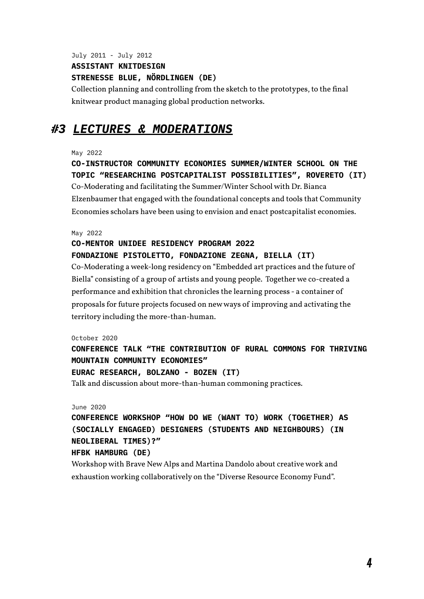July 2011 - July 2012 **ASSISTANT KNITDESIGN STRENESSE BLUE, NÖRDLINGEN (DE)**

Collection planning and controlling from the sketch to the prototypes, to the final knitwear product managing global production networks.

# *#3 LECTURES & MODERATIONS*

May 2022

**CO-INSTRUCTOR COMMUNITY ECONOMIES SUMMER/WINTER SCHOOL ON THE TOPIC "RESEARCHING POSTCAPITALIST POSSIBILITIES", ROVERETO (IT)** Co-Moderating and facilitating the Summer/Winter School with Dr. Bianca Elzenbaumer that engaged with the foundational concepts and tools that Community Economies scholars have been using to envision and enact postcapitalist economies.

May 2022

#### **CO-MENTOR UNIDEE RESIDENCY PROGRAM 2022 FONDAZIONE PISTOLETTO, FONDAZIONE ZEGNA, BIELLA (IT)**

Co-Moderating a week-long residency on "Embedded art practices and the future of Biella" consisting of a group of artists and young people. Together we co-created a performance and exhibition that chronicles the learning process - a container of proposals for future projects focused on newways of improving and activating the territory including the more-than-human.

October 2020

#### **CONFERENCE TALK "THE CONTRIBUTION OF RURAL COMMONS FOR THRIVING MOUNTAIN COMMUNITY ECONOMIES"**

#### **EURAC RESEARCH, BOLZANO - BOZEN (IT)**

Talk and discussion about more-than-human commoning practices.

June 2020

**CONFERENCE WORKSHOP "HOW DO WE (WANT TO) WORK (TOGETHER) AS (SOCIALLY ENGAGED) DESIGNERS (STUDENTS AND NEIGHBOURS) (IN NEOLIBERAL TIMES)?"**

#### **HFBK HAMBURG (DE)**

Workshop with Brave New Alps and Martina Dandolo about creative work and exhaustion working collaboratively on the "Diverse Resource Economy Fund".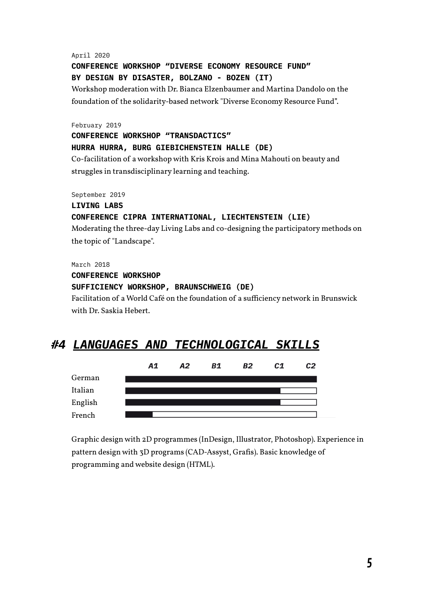April 2020

#### **CONFERENCE WORKSHOP "DIVERSE ECONOMY RESOURCE FUND" BY DESIGN BY DISASTER, BOLZANO - BOZEN (IT)**

Workshop moderation with Dr. Bianca Elzenbaumer and Martina Dandolo on the foundation of the solidarity-based network "Diverse Economy Resource Fund".

February 2019

**CONFERENCE WORKSHOP "TRANSDACTICS" HURRA HURRA, BURG GIEBICHENSTEIN HALLE (DE)** Co-facilitation of a workshop with Kris Krois and Mina Mahouti on beauty and struggles in transdisciplinary learning and teaching.

September 2019

#### **LIVING LABS CONFERENCE CIPRA INTERNATIONAL, LIECHTENSTEIN (LIE)**

Moderating the three-day Living Labs and co-designing the participatory methods on the topic of "Landscape".

March 2018

#### **CONFERENCE WORKSHOP**

#### **SUFFICIENCY WORKSHOP, BRAUNSCHWEIG (DE)**

Facilitation of a World Café on the foundation of a sufficiency network in Brunswick with Dr. Saskia Hebert.

# *#4 LANGUAGES AND TECHNOLOGICAL SKILLS*



Graphic design with 2D programmes (InDesign, Illustrator, Photoshop). Experience in pattern design with 3D programs (CAD-Assyst, Grafis). Basic knowledge of programming and website design (HTML).